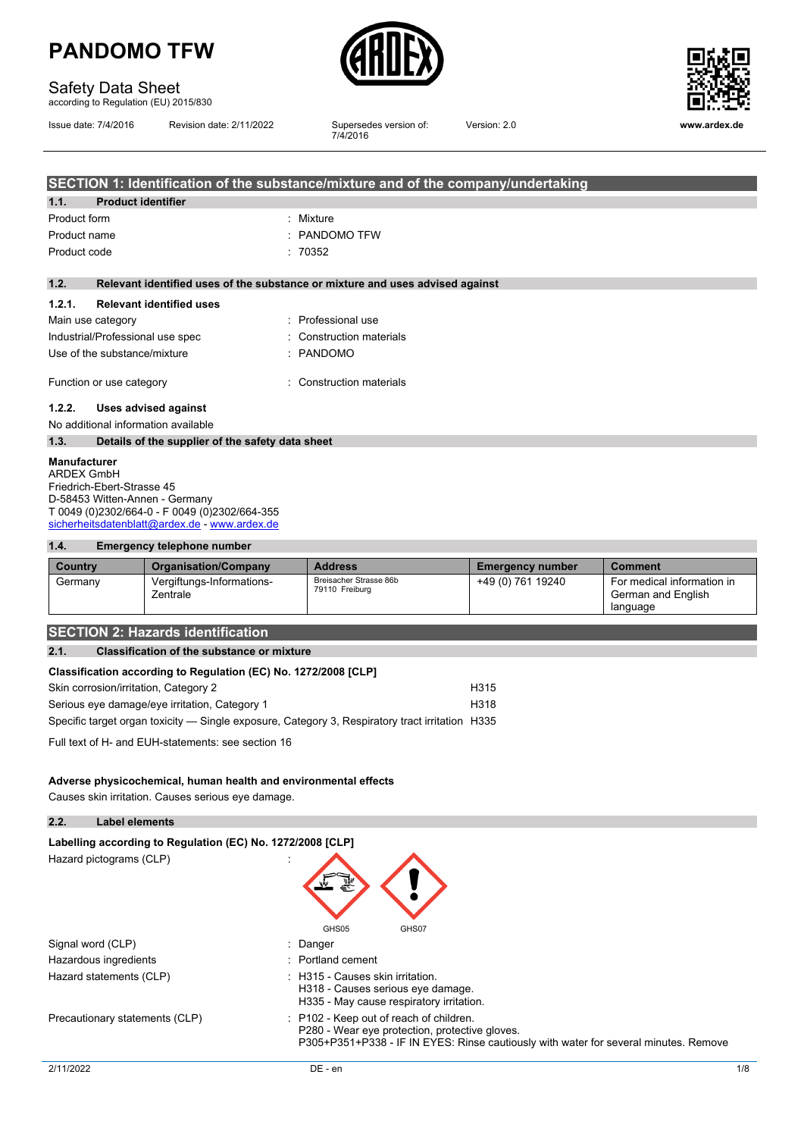

### Safety Data Sheet

according to Regulation (EU) 2015/830

Issue date: 7/4/2016 Revision date: 2/11/2022

Supersedes version of:<br>7/4/2016



Version: 2.0 **www.ardex.de**

|              |                                                  | SECTION 1: Identification of the substance/mixture and of the company/undertaking |
|--------------|--------------------------------------------------|-----------------------------------------------------------------------------------|
| 1.1.         | <b>Product identifier</b>                        |                                                                                   |
| Product form |                                                  | : Mixture                                                                         |
| Product name |                                                  | $:$ PANDOMO TFW                                                                   |
| Product code |                                                  | : 70352                                                                           |
|              |                                                  |                                                                                   |
| 1.2.         |                                                  | Relevant identified uses of the substance or mixture and uses advised against     |
| 1.2.1.       | <b>Relevant identified uses</b>                  |                                                                                   |
|              | Main use category                                | : Professional use                                                                |
|              | Industrial/Professional use spec                 | : Construction materials                                                          |
|              | Use of the substance/mixture                     | : PANDOMO                                                                         |
|              |                                                  |                                                                                   |
|              | Function or use category                         | : Construction materials                                                          |
| 1.2.2.       | Uses advised against                             |                                                                                   |
|              | No additional information available              |                                                                                   |
| 1.3.         | Details of the supplier of the safety data sheet |                                                                                   |
|              |                                                  |                                                                                   |

**Manufacturer** ARDEX GmbH Friedrich-Ebert-Strasse 45 D-58453 Witten-Annen - Germany T 0049 (0)2302/664-0 - F 0049 (0)2302/664-355 [sicherheitsdatenblatt@ardex.de](mailto:sicherheitsdatenblatt@ardex.de) - [www.ardex.de](http://www.ardex.de/)

#### **1.4. Emergency telephone number**

| Country | <b>Organisation/Company</b>           | <b>Address</b>                           | <b>Emergency number</b> | <b>Comment</b>                                               |
|---------|---------------------------------------|------------------------------------------|-------------------------|--------------------------------------------------------------|
| Germany | Vergiftungs-Informations-<br>Zentrale | Breisacher Strasse 86b<br>79110 Freiburg | +49 (0) 761 19240       | For medical information in<br>German and English<br>language |

#### **SECTION 2: Hazards identification**

#### **2.1. Classification of the substance or mixture**

| Classification according to Regulation (EC) No. 1272/2008 [CLP] |                  |
|-----------------------------------------------------------------|------------------|
| Skin corrosion/irritation, Category 2                           | H <sub>315</sub> |

| Serious eye damage/eye irritation, Category 1                                                   | H318 |
|-------------------------------------------------------------------------------------------------|------|
| Specific target organ toxicity — Single exposure, Category 3, Respiratory tract irritation H335 |      |

Full text of H- and EUH-statements: see section 16

#### **Adverse physicochemical, human health and environmental effects**

Causes skin irritation. Causes serious eye damage.

| 2.2.      | <b>Label elements</b>                                      |                                                                                                                                                                                   |     |
|-----------|------------------------------------------------------------|-----------------------------------------------------------------------------------------------------------------------------------------------------------------------------------|-----|
|           | Labelling according to Regulation (EC) No. 1272/2008 [CLP] |                                                                                                                                                                                   |     |
|           | Hazard pictograms (CLP)                                    | GHS05<br>GHS07                                                                                                                                                                    |     |
|           | Signal word (CLP)                                          | : Danger                                                                                                                                                                          |     |
|           | Hazardous ingredients                                      | $\therefore$ Portland cement                                                                                                                                                      |     |
|           | Hazard statements (CLP)                                    | : H315 - Causes skin irritation.<br>H318 - Causes serious eye damage.<br>H335 - May cause respiratory irritation.                                                                 |     |
|           | Precautionary statements (CLP)                             | : P102 - Keep out of reach of children.<br>P280 - Wear eye protection, protective gloves.<br>P305+P351+P338 - IF IN EYES: Rinse cautiously with water for several minutes. Remove |     |
| 2/11/2022 |                                                            | DE - en                                                                                                                                                                           | 1/8 |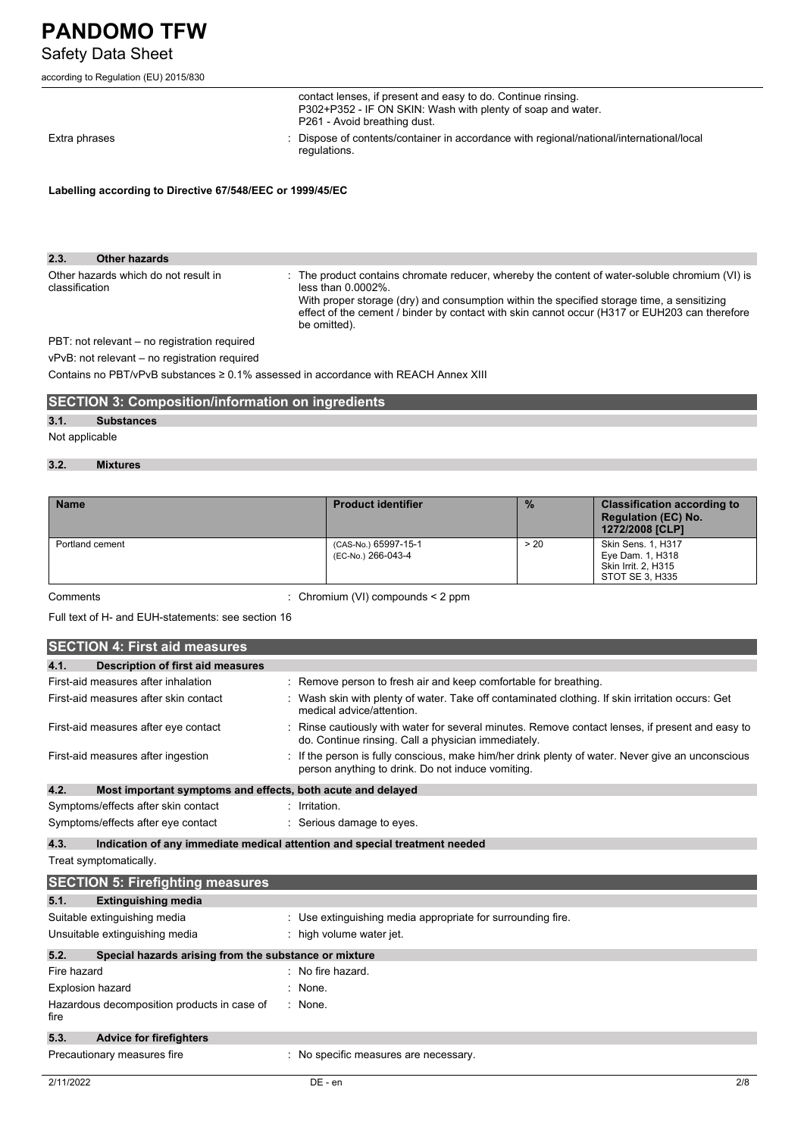# Safety Data Sheet

| according to Regulation (EU) 2015/830 |  |
|---------------------------------------|--|
|                                       |  |

|                                                           | contact lenses, if present and easy to do. Continue rinsing.<br>P302+P352 - IF ON SKIN: Wash with plenty of soap and water.<br>P261 - Avoid breathing dust. |
|-----------------------------------------------------------|-------------------------------------------------------------------------------------------------------------------------------------------------------------|
| Extra phrases                                             | : Dispose of contents/container in accordance with regional/national/international/local<br>regulations.                                                    |
| Labelling according to Directive 67/548/EEC or 1999/45/EC |                                                                                                                                                             |

| 2.3.           | Other hazards                                    |                                                                                                                                                                                                                                                                                                                                         |
|----------------|--------------------------------------------------|-----------------------------------------------------------------------------------------------------------------------------------------------------------------------------------------------------------------------------------------------------------------------------------------------------------------------------------------|
| classification | Other hazards which do not result in             | : The product contains chromate reducer, whereby the content of water-soluble chromium (VI) is<br>less than $0.0002\%$ .<br>With proper storage (dry) and consumption within the specified storage time, a sensitizing<br>effect of the cement / binder by contact with skin cannot occur (H317 or EUH203 can therefore<br>be omitted). |
|                | $PRT:$ not relevant $=$ no registration required |                                                                                                                                                                                                                                                                                                                                         |

PBT: not relevant – no registration required

vPvB: not relevant – no registration required

Contains no PBT/vPvB substances ≥ 0.1% assessed in accordance with REACH Annex XIII

|  | <b>SECTION 3: Composition/information on ingredients</b> |
|--|----------------------------------------------------------|
|  |                                                          |

### **3.1. Substances**

### Not applicable

#### **3.2. Mixtures**

| <b>Name</b>     | <b>Product identifier</b>                  | $\frac{9}{6}$ | <b>Classification according to</b><br><b>Regulation (EC) No.</b><br>1272/2008 [CLP]     |
|-----------------|--------------------------------------------|---------------|-----------------------------------------------------------------------------------------|
| Portland cement | (CAS-No.) 65997-15-1<br>(EC-No.) 266-043-4 | > 20          | <b>Skin Sens. 1, H317</b><br>Eye Dam. 1, H318<br>Skin Irrit. 2, H315<br>STOT SE 3, H335 |

Comments : Chromium (VI) compounds < 2 ppm

Full text of H- and EUH-statements: see section 16

|                         | <b>SECTION 4: First aid measures</b>                        |                                                                                                                                                       |
|-------------------------|-------------------------------------------------------------|-------------------------------------------------------------------------------------------------------------------------------------------------------|
| 4.1.                    | <b>Description of first aid measures</b>                    |                                                                                                                                                       |
|                         | First-aid measures after inhalation                         | Remove person to fresh air and keep comfortable for breathing.                                                                                        |
|                         | First-aid measures after skin contact                       | Wash skin with plenty of water. Take off contaminated clothing. If skin irritation occurs: Get<br>medical advice/attention.                           |
|                         | First-aid measures after eye contact                        | Rinse cautiously with water for several minutes. Remove contact lenses, if present and easy to<br>do. Continue rinsing. Call a physician immediately. |
|                         | First-aid measures after ingestion                          | If the person is fully conscious, make him/her drink plenty of water. Never give an unconscious<br>person anything to drink. Do not induce vomiting.  |
| 4.2.                    | Most important symptoms and effects, both acute and delayed |                                                                                                                                                       |
|                         | Symptoms/effects after skin contact                         | Irritation.                                                                                                                                           |
|                         | Symptoms/effects after eye contact                          | : Serious damage to eyes.                                                                                                                             |
| 4.3.                    |                                                             | Indication of any immediate medical attention and special treatment needed                                                                            |
|                         | Treat symptomatically.                                      |                                                                                                                                                       |
|                         | <b>SECTION 5: Firefighting measures</b>                     |                                                                                                                                                       |
| 5.1.                    | <b>Extinguishing media</b>                                  |                                                                                                                                                       |
|                         | Suitable extinguishing media                                | : Use extinguishing media appropriate for surrounding fire.                                                                                           |
|                         | Unsuitable extinguishing media                              | high volume water jet.                                                                                                                                |
| 5.2.                    | Special hazards arising from the substance or mixture       |                                                                                                                                                       |
| Fire hazard             |                                                             | No fire hazard.                                                                                                                                       |
| <b>Explosion hazard</b> |                                                             | None.                                                                                                                                                 |
| fire                    | Hazardous decomposition products in case of                 | : None.                                                                                                                                               |
| 5.3.                    | <b>Advice for firefighters</b>                              |                                                                                                                                                       |
|                         | Precautionary measures fire                                 | No specific measures are necessary.                                                                                                                   |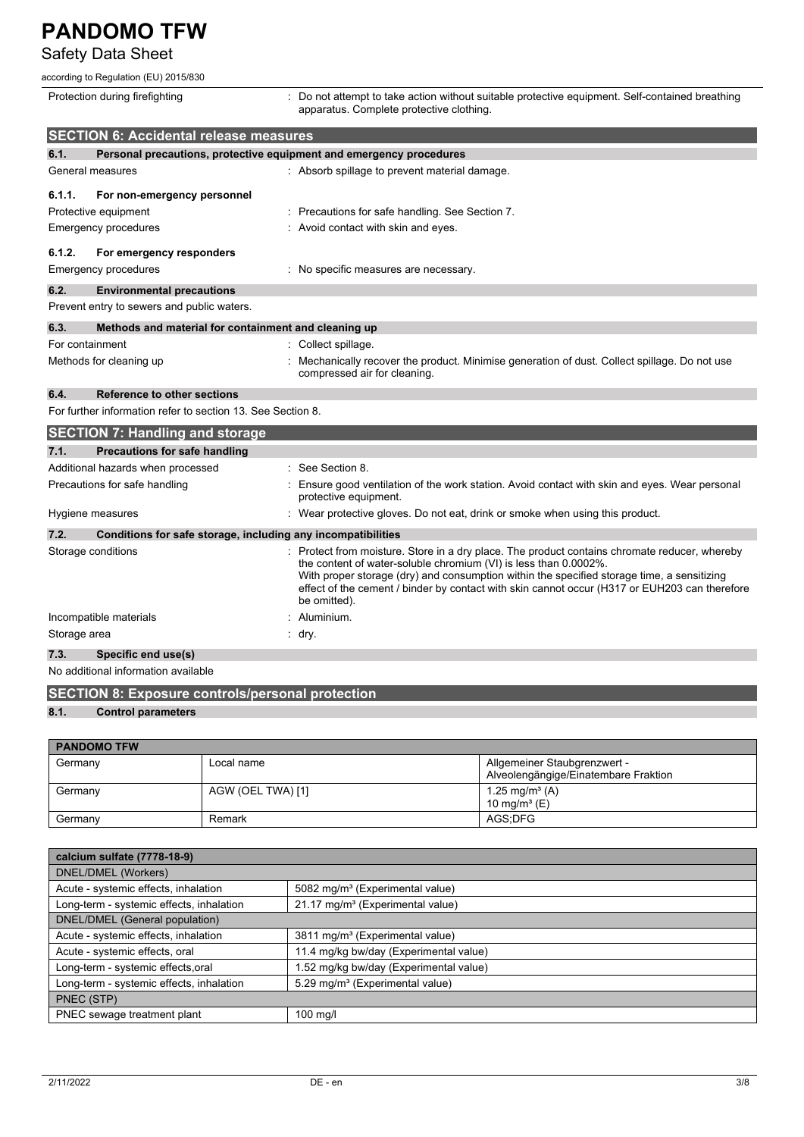## Safety Data Sheet

#### according to Regulation (EU) 2015/830

|                 | according to Regulation (EU) 2015/830                        |                                                                                                                                                                                                                                                                                                                                                                                |
|-----------------|--------------------------------------------------------------|--------------------------------------------------------------------------------------------------------------------------------------------------------------------------------------------------------------------------------------------------------------------------------------------------------------------------------------------------------------------------------|
|                 | Protection during firefighting                               | : Do not attempt to take action without suitable protective equipment. Self-contained breathing<br>apparatus. Complete protective clothing.                                                                                                                                                                                                                                    |
|                 | <b>SECTION 6: Accidental release measures</b>                |                                                                                                                                                                                                                                                                                                                                                                                |
| 6.1.            |                                                              | Personal precautions, protective equipment and emergency procedures                                                                                                                                                                                                                                                                                                            |
|                 | General measures                                             | : Absorb spillage to prevent material damage.                                                                                                                                                                                                                                                                                                                                  |
| 6.1.1.          | For non-emergency personnel                                  |                                                                                                                                                                                                                                                                                                                                                                                |
|                 | Protective equipment                                         | Precautions for safe handling. See Section 7.                                                                                                                                                                                                                                                                                                                                  |
|                 | <b>Emergency procedures</b>                                  | : Avoid contact with skin and eyes.                                                                                                                                                                                                                                                                                                                                            |
| 6.1.2.          | For emergency responders                                     |                                                                                                                                                                                                                                                                                                                                                                                |
|                 | Emergency procedures                                         | : No specific measures are necessary.                                                                                                                                                                                                                                                                                                                                          |
| 6.2.            | <b>Environmental precautions</b>                             |                                                                                                                                                                                                                                                                                                                                                                                |
|                 | Prevent entry to sewers and public waters.                   |                                                                                                                                                                                                                                                                                                                                                                                |
| 6.3.            | Methods and material for containment and cleaning up         |                                                                                                                                                                                                                                                                                                                                                                                |
| For containment |                                                              | : Collect spillage.                                                                                                                                                                                                                                                                                                                                                            |
|                 | Methods for cleaning up                                      | Mechanically recover the product. Minimise generation of dust. Collect spillage. Do not use<br>compressed air for cleaning.                                                                                                                                                                                                                                                    |
| 6.4.            | <b>Reference to other sections</b>                           |                                                                                                                                                                                                                                                                                                                                                                                |
|                 | For further information refer to section 13. See Section 8.  |                                                                                                                                                                                                                                                                                                                                                                                |
|                 | <b>SECTION 7: Handling and storage</b>                       |                                                                                                                                                                                                                                                                                                                                                                                |
| 7.1.            | <b>Precautions for safe handling</b>                         |                                                                                                                                                                                                                                                                                                                                                                                |
|                 | Additional hazards when processed                            | : See Section 8.                                                                                                                                                                                                                                                                                                                                                               |
|                 | Precautions for safe handling                                | Ensure good ventilation of the work station. Avoid contact with skin and eyes. Wear personal<br>protective equipment.                                                                                                                                                                                                                                                          |
|                 | Hygiene measures                                             | : Wear protective gloves. Do not eat, drink or smoke when using this product.                                                                                                                                                                                                                                                                                                  |
| 7.2.            | Conditions for safe storage, including any incompatibilities |                                                                                                                                                                                                                                                                                                                                                                                |
|                 | Storage conditions                                           | Protect from moisture. Store in a dry place. The product contains chromate reducer, whereby<br>the content of water-soluble chromium (VI) is less than 0.0002%.<br>With proper storage (dry) and consumption within the specified storage time, a sensitizing<br>effect of the cement / binder by contact with skin cannot occur (H317 or EUH203 can therefore<br>be omitted). |
|                 | Incompatible materials                                       | Aluminium.                                                                                                                                                                                                                                                                                                                                                                     |
|                 |                                                              | dry.                                                                                                                                                                                                                                                                                                                                                                           |
| Storage area    |                                                              |                                                                                                                                                                                                                                                                                                                                                                                |
| 7.3.            | Specific end use(s)                                          |                                                                                                                                                                                                                                                                                                                                                                                |
|                 | No additional information available                          |                                                                                                                                                                                                                                                                                                                                                                                |

### **8.1. Control parameters**

| <b>PANDOMO TFW</b> |                   |                                      |
|--------------------|-------------------|--------------------------------------|
| Germany            | Local name        | Allgemeiner Staubgrenzwert -         |
|                    |                   | Alveolengängige/Einatembare Fraktion |
| Germany            | AGW (OEL TWA) [1] | 1.25 mg/m <sup>3</sup> (A)           |
|                    |                   | 10 mg/m <sup>3</sup> (E)             |
| Germany            | Remark            | AGS:DFG                              |

| calcium sulfate (7778-18-9)              |                                              |
|------------------------------------------|----------------------------------------------|
| DNEL/DMEL (Workers)                      |                                              |
| Acute - systemic effects, inhalation     | 5082 mg/m <sup>3</sup> (Experimental value)  |
| Long-term - systemic effects, inhalation | 21.17 mg/m <sup>3</sup> (Experimental value) |
| DNEL/DMEL (General population)           |                                              |
| Acute - systemic effects, inhalation     | 3811 mg/m <sup>3</sup> (Experimental value)  |
| Acute - systemic effects, oral           | 11.4 mg/kg bw/day (Experimental value)       |
| Long-term - systemic effects.oral        | .52 mg/kg bw/day (Experimental value)        |
| Long-term - systemic effects, inhalation | 5.29 mg/m <sup>3</sup> (Experimental value)  |
| PNEC (STP)                               |                                              |
| PNEC sewage treatment plant              | $100$ mg/l                                   |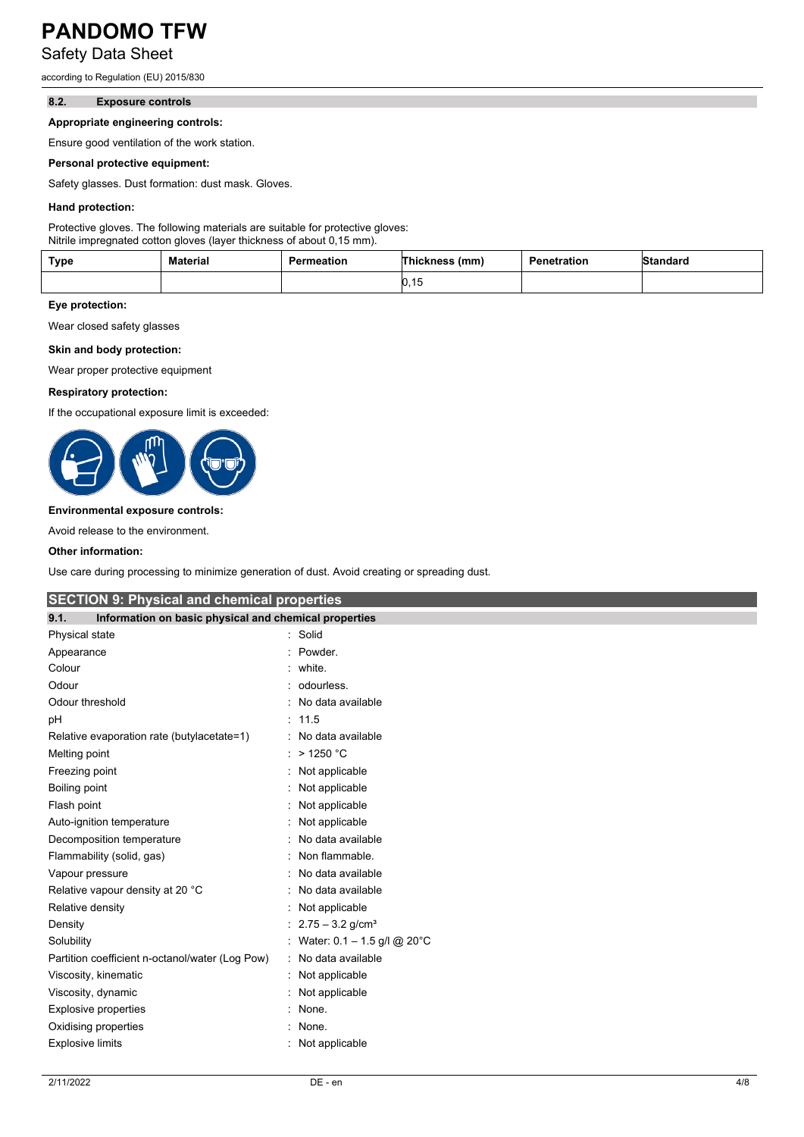Safety Data Sheet

according to Regulation (EU) 2015/830

#### **8.2. Exposure controls**

#### **Appropriate engineering controls:**

Ensure good ventilation of the work station.

#### **Personal protective equipment:**

Safety glasses. Dust formation: dust mask. Gloves.

#### **Hand protection:**

Protective gloves. The following materials are suitable for protective gloves: Nitrile impregnated cotton gloves (layer thickness of about 0,15 mm).

| <b>Type</b> | Material | Permeation | Thickness<br>(mm) | Penetration | Standard |
|-------------|----------|------------|-------------------|-------------|----------|
|             |          |            | ט, וט             |             |          |

#### **Eye protection:**

Wear closed safety glasses

#### **Skin and body protection:**

Wear proper protective equipment

#### **Respiratory protection:**

If the occupational exposure limit is exceeded:



#### **Environmental exposure controls:**

Avoid release to the environment.

#### **Other information:**

Use care during processing to minimize generation of dust. Avoid creating or spreading dust.

| <b>SECTION 9: Physical and chemical properties</b>            |                                 |
|---------------------------------------------------------------|---------------------------------|
| 9.1.<br>Information on basic physical and chemical properties |                                 |
| Physical state                                                | : Solid                         |
| Appearance                                                    | Powder.                         |
| Colour                                                        | white.                          |
| Odour                                                         | odourless.                      |
| Odour threshold                                               | No data available               |
| pH                                                            | : 11.5                          |
| Relative evaporation rate (butylacetate=1)                    | No data available               |
| Melting point                                                 | $>$ 1250 °C                     |
| Freezing point                                                | : Not applicable                |
| Boiling point                                                 | Not applicable                  |
| Flash point                                                   | Not applicable                  |
| Auto-ignition temperature                                     | Not applicable                  |
| Decomposition temperature                                     | No data available               |
| Flammability (solid, gas)                                     | Non flammable.                  |
| Vapour pressure                                               | No data available               |
| Relative vapour density at 20 °C                              | No data available               |
| Relative density                                              | Not applicable                  |
| Density                                                       | $2.75 - 3.2$ g/cm <sup>3</sup>  |
| Solubility                                                    | : Water: $0.1 - 1.5$ g/l @ 20°C |
| Partition coefficient n-octanol/water (Log Pow)               | No data available               |
| Viscosity, kinematic                                          | Not applicable                  |
| Viscosity, dynamic                                            | Not applicable                  |
| Explosive properties                                          | : None.                         |
| Oxidising properties                                          | None.                           |
| <b>Explosive limits</b>                                       | Not applicable                  |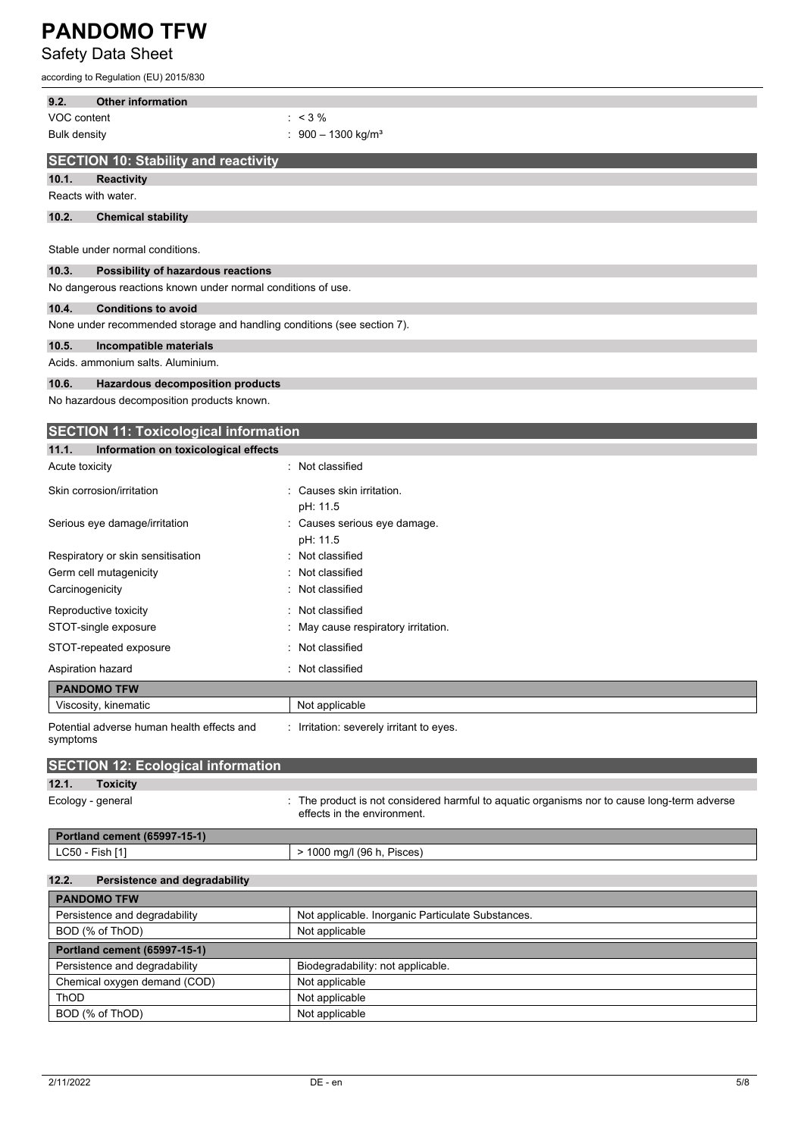Safety Data Sheet

according to Regulation (EU) 2015/830

| 9.2.               | <b>Other information</b>                                                |                                                                                                                          |
|--------------------|-------------------------------------------------------------------------|--------------------------------------------------------------------------------------------------------------------------|
| VOC content        |                                                                         | $: 3\%$                                                                                                                  |
| Bulk density       |                                                                         | $900 - 1300$ kg/m <sup>3</sup>                                                                                           |
|                    | <b>SECTION 10: Stability and reactivity</b>                             |                                                                                                                          |
| 10.1.              | Reactivity                                                              |                                                                                                                          |
| Reacts with water. |                                                                         |                                                                                                                          |
| 10.2.              | <b>Chemical stability</b>                                               |                                                                                                                          |
|                    |                                                                         |                                                                                                                          |
|                    | Stable under normal conditions.                                         |                                                                                                                          |
| 10.3.              | Possibility of hazardous reactions                                      |                                                                                                                          |
|                    | No dangerous reactions known under normal conditions of use.            |                                                                                                                          |
| 10.4.              | <b>Conditions to avoid</b>                                              |                                                                                                                          |
|                    | None under recommended storage and handling conditions (see section 7). |                                                                                                                          |
| 10.5.              | Incompatible materials                                                  |                                                                                                                          |
|                    | Acids. ammonium salts. Aluminium.                                       |                                                                                                                          |
| 10.6.              | Hazardous decomposition products                                        |                                                                                                                          |
|                    | No hazardous decomposition products known.                              |                                                                                                                          |
|                    | <b>SECTION 11: Toxicological information</b>                            |                                                                                                                          |
| 11.1.              | Information on toxicological effects                                    |                                                                                                                          |
| Acute toxicity     |                                                                         | Not classified                                                                                                           |
|                    |                                                                         |                                                                                                                          |
|                    | Skin corrosion/irritation                                               | Causes skin irritation.<br>pH: 11.5                                                                                      |
|                    | Serious eye damage/irritation                                           | Causes serious eye damage.                                                                                               |
|                    |                                                                         | pH: 11.5                                                                                                                 |
|                    | Respiratory or skin sensitisation                                       | Not classified                                                                                                           |
|                    | Germ cell mutagenicity                                                  | Not classified                                                                                                           |
| Carcinogenicity    |                                                                         | Not classified                                                                                                           |
|                    | Reproductive toxicity                                                   | Not classified                                                                                                           |
|                    | STOT-single exposure                                                    | May cause respiratory irritation.                                                                                        |
|                    | STOT-repeated exposure                                                  | Not classified                                                                                                           |
| Aspiration hazard  |                                                                         | Not classified                                                                                                           |
|                    | <b>PANDOMO TFW</b>                                                      |                                                                                                                          |
|                    | Viscosity, kinematic                                                    | Not applicable                                                                                                           |
| symptoms           | Potential adverse human health effects and                              | : Irritation: severely irritant to eyes.                                                                                 |
|                    | <b>SECTION 12: Ecological information</b>                               |                                                                                                                          |
| 12.1.              | <b>Toxicity</b>                                                         |                                                                                                                          |
| Ecology - general  |                                                                         | The product is not considered harmful to aquatic organisms nor to cause long-term adverse<br>effects in the environment. |
|                    | Portland cement (65997-15-1)                                            |                                                                                                                          |
| LC50 - Fish [1]    |                                                                         | > 1000 mg/l (96 h, Pisces)                                                                                               |
| 12.2.              | Persistence and degradability                                           |                                                                                                                          |
|                    | <b>PANDOMO TFW</b>                                                      |                                                                                                                          |
|                    | Persistence and degradability                                           | Not applicable. Inorganic Particulate Substances.                                                                        |
|                    | BOD (% of ThOD)                                                         | Not applicable                                                                                                           |
|                    | Portland cement (65997-15-1)                                            |                                                                                                                          |
|                    | Persistence and degradability                                           | Biodegradability: not applicable.                                                                                        |
|                    | Chemical oxygen demand (COD)                                            | Not applicable                                                                                                           |
| ThOD               |                                                                         | Not applicable                                                                                                           |
|                    | BOD (% of ThOD)                                                         | Not applicable                                                                                                           |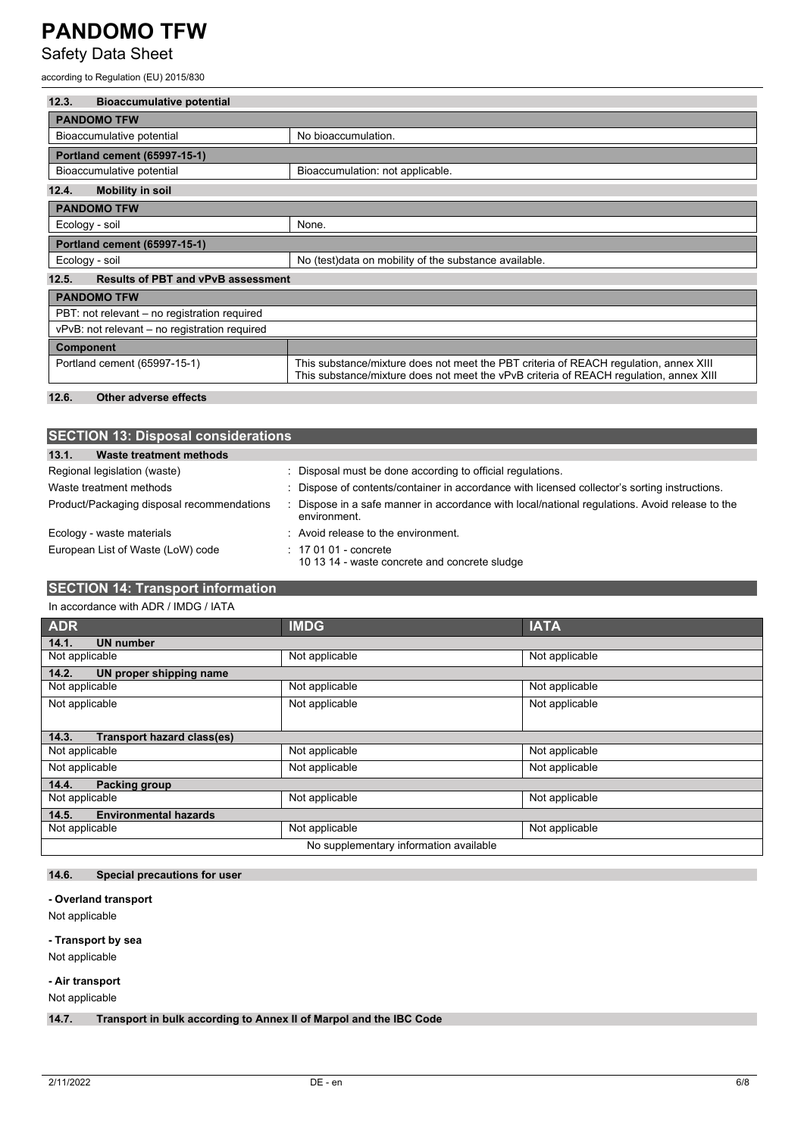Safety Data Sheet

according to Regulation (EU) 2015/830

| 12.3.<br><b>Bioaccumulative potential</b>          |                                                                                                                                                                                 |  |
|----------------------------------------------------|---------------------------------------------------------------------------------------------------------------------------------------------------------------------------------|--|
| <b>PANDOMO TFW</b>                                 |                                                                                                                                                                                 |  |
| Bioaccumulative potential                          | No bioaccumulation.                                                                                                                                                             |  |
| Portland cement (65997-15-1)                       |                                                                                                                                                                                 |  |
| Bioaccumulative potential                          | Bioaccumulation: not applicable.                                                                                                                                                |  |
| <b>Mobility in soil</b><br>12.4.                   |                                                                                                                                                                                 |  |
| <b>PANDOMO TFW</b>                                 |                                                                                                                                                                                 |  |
| Ecology - soil                                     | None.                                                                                                                                                                           |  |
| Portland cement (65997-15-1)                       |                                                                                                                                                                                 |  |
| Ecology - soil                                     | No (test) data on mobility of the substance available.                                                                                                                          |  |
| 12.5.<br><b>Results of PBT and vPvB assessment</b> |                                                                                                                                                                                 |  |
| <b>PANDOMO TFW</b>                                 |                                                                                                                                                                                 |  |
| PBT: not relevant – no registration required       |                                                                                                                                                                                 |  |
| vPvB: not relevant – no registration required      |                                                                                                                                                                                 |  |
| <b>Component</b>                                   |                                                                                                                                                                                 |  |
| Portland cement (65997-15-1)                       | This substance/mixture does not meet the PBT criteria of REACH regulation, annex XIII<br>This substance/mixture does not meet the vPvB criteria of REACH requlation, annex XIII |  |
| 12.6.<br>Other adverse effects                     |                                                                                                                                                                                 |  |

| <b>SECTION 13: Disposal considerations</b> |                                                                                                              |  |
|--------------------------------------------|--------------------------------------------------------------------------------------------------------------|--|
| 13.1.<br>Waste treatment methods           |                                                                                                              |  |
| Regional legislation (waste)               | Disposal must be done according to official regulations.                                                     |  |
| Waste treatment methods                    | Dispose of contents/container in accordance with licensed collector's sorting instructions.                  |  |
| Product/Packaging disposal recommendations | Dispose in a safe manner in accordance with local/national regulations. Avoid release to the<br>environment. |  |
| Ecology - waste materials                  | Avoid release to the environment.                                                                            |  |
| European List of Waste (LoW) code          | $: 170101$ - concrete<br>10 13 14 - waste concrete and concrete sludge                                       |  |

### **SECTION 14: Transport information**

In accordance with ADR / IMDG / IATA

| <b>ADR</b>                                 | <b>IMDG</b>    | <b>IATA</b>    |
|--------------------------------------------|----------------|----------------|
| <b>UN number</b><br>14.1.                  |                |                |
| Not applicable                             | Not applicable | Not applicable |
| 14.2.<br>UN proper shipping name           |                |                |
| Not applicable                             | Not applicable | Not applicable |
| Not applicable                             | Not applicable | Not applicable |
|                                            |                |                |
| <b>Transport hazard class(es)</b><br>14.3. |                |                |
| Not applicable                             | Not applicable | Not applicable |
| Not applicable                             | Not applicable | Not applicable |
| 14.4.<br><b>Packing group</b>              |                |                |
| Not applicable                             | Not applicable | Not applicable |
| <b>Environmental hazards</b><br>14.5.      |                |                |
| Not applicable                             | Not applicable | Not applicable |
| No supplementary information available     |                |                |

#### **14.6. Special precautions for user**

**- Overland transport**

Not applicable

#### **- Transport by sea**

Not applicable

#### **- Air transport**

Not applicable

**14.7. Transport in bulk according to Annex II of Marpol and the IBC Code**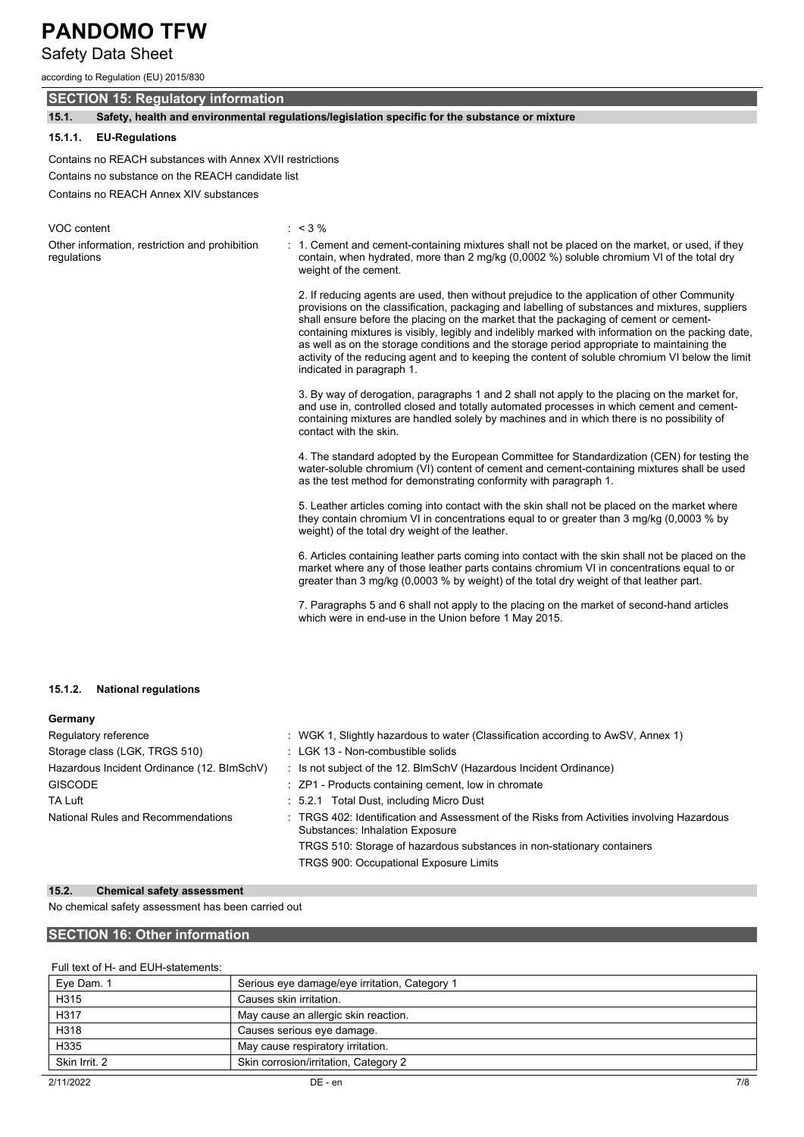### Safety Data Sheet

according to Regulation (EU) 2015/830

### **SECTION 15: Regulatory information**

**15.1. Safety, health and environmental regulations/legislation specific for the substance or mixture**

#### **15.1.1. EU-Regulations**

Contains no REACH substances with Annex XVII restrictions Contains no substance on the REACH candidate list

Contains no REACH Annex XIV substances

| VOC content                                                   | $: 3\%$                                                                                                                                                                                                                                                                                                                                                                                                                                                                                                                                                                                                                       |
|---------------------------------------------------------------|-------------------------------------------------------------------------------------------------------------------------------------------------------------------------------------------------------------------------------------------------------------------------------------------------------------------------------------------------------------------------------------------------------------------------------------------------------------------------------------------------------------------------------------------------------------------------------------------------------------------------------|
| Other information, restriction and prohibition<br>regulations | : 1. Cement and cement-containing mixtures shall not be placed on the market, or used, if they<br>contain, when hydrated, more than 2 mg/kg (0,0002 %) soluble chromium VI of the total dry<br>weight of the cement.                                                                                                                                                                                                                                                                                                                                                                                                          |
|                                                               | 2. If reducing agents are used, then without prejudice to the application of other Community<br>provisions on the classification, packaging and labelling of substances and mixtures, suppliers<br>shall ensure before the placing on the market that the packaging of cement or cement-<br>containing mixtures is visibly, legibly and indelibly marked with information on the packing date,<br>as well as on the storage conditions and the storage period appropriate to maintaining the<br>activity of the reducing agent and to keeping the content of soluble chromium VI below the limit<br>indicated in paragraph 1. |
|                                                               | 3. By way of derogation, paragraphs 1 and 2 shall not apply to the placing on the market for,<br>and use in, controlled closed and totally automated processes in which cement and cement-<br>containing mixtures are handled solely by machines and in which there is no possibility of<br>contact with the skin.                                                                                                                                                                                                                                                                                                            |
|                                                               | 4. The standard adopted by the European Committee for Standardization (CEN) for testing the<br>water-soluble chromium (VI) content of cement and cement-containing mixtures shall be used<br>as the test method for demonstrating conformity with paragraph 1.                                                                                                                                                                                                                                                                                                                                                                |
|                                                               | 5. Leather articles coming into contact with the skin shall not be placed on the market where<br>they contain chromium VI in concentrations equal to or greater than 3 mg/kg (0,0003 % by<br>weight) of the total dry weight of the leather.                                                                                                                                                                                                                                                                                                                                                                                  |
|                                                               | 6. Articles containing leather parts coming into contact with the skin shall not be placed on the<br>market where any of those leather parts contains chromium VI in concentrations equal to or<br>greater than 3 mg/kg (0,0003 % by weight) of the total dry weight of that leather part.                                                                                                                                                                                                                                                                                                                                    |
|                                                               | 7. Paragraphs 5 and 6 shall not apply to the placing on the market of second-hand articles                                                                                                                                                                                                                                                                                                                                                                                                                                                                                                                                    |

which were in end-use in the Union before 1 May 2015.

#### **15.1.2. National regulations**

| Germany                                    |                                                                                                                                      |
|--------------------------------------------|--------------------------------------------------------------------------------------------------------------------------------------|
| Regulatory reference                       | : WGK 1, Slightly hazardous to water (Classification according to AwSV, Annex 1)                                                     |
| Storage class (LGK, TRGS 510)              | : LGK 13 - Non-combustible solids                                                                                                    |
| Hazardous Incident Ordinance (12. BImSchV) | : Is not subject of the 12. BlmSchV (Hazardous Incident Ordinance)                                                                   |
| <b>GISCODE</b>                             | : ZP1 - Products containing cement, low in chromate                                                                                  |
| TA Luft                                    | : 5.2.1 Total Dust, including Micro Dust                                                                                             |
| National Rules and Recommendations         | : TRGS 402: Identification and Assessment of the Risks from Activities involving Hazardous<br><b>Substances: Inhalation Exposure</b> |
|                                            | TRGS 510: Storage of hazardous substances in non-stationary containers                                                               |
|                                            | <b>TRGS 900: Occupational Exposure Limits</b>                                                                                        |

#### **15.2. Chemical safety assessment**

No chemical safety assessment has been carried out

#### **SECTION 16: Other information**

#### Full text of H- and EUH-statements:

| Eye Dam. 1    | Serious eye damage/eye irritation, Category 1 |
|---------------|-----------------------------------------------|
| H315          | Causes skin irritation.                       |
| H317          | May cause an allergic skin reaction.          |
| H318          | Causes serious eye damage.                    |
| H335          | May cause respiratory irritation.             |
| Skin Irrit, 2 | Skin corrosion/irritation, Category 2         |